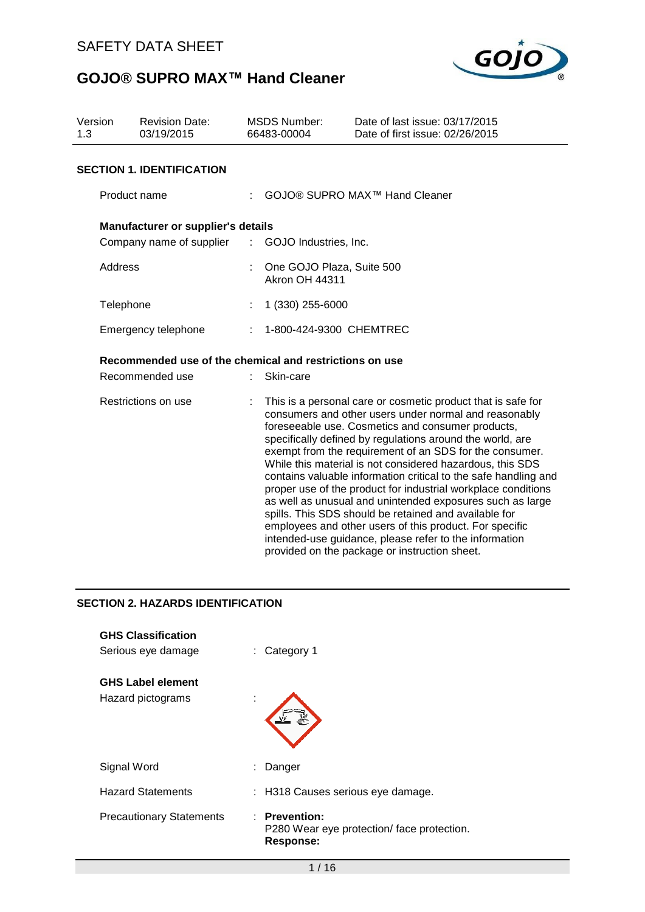

| Version<br>1.3      | <b>Revision Date:</b><br>03/19/2015                     | <b>MSDS Number:</b><br>66483-00004                 | Date of last issue: 03/17/2015<br>Date of first issue: 02/26/2015                                                                                                                                                                                                                                                                                                                                                                                                                                                                                                                                                                                                                                                                                                                               |
|---------------------|---------------------------------------------------------|----------------------------------------------------|-------------------------------------------------------------------------------------------------------------------------------------------------------------------------------------------------------------------------------------------------------------------------------------------------------------------------------------------------------------------------------------------------------------------------------------------------------------------------------------------------------------------------------------------------------------------------------------------------------------------------------------------------------------------------------------------------------------------------------------------------------------------------------------------------|
|                     | <b>SECTION 1. IDENTIFICATION</b>                        |                                                    |                                                                                                                                                                                                                                                                                                                                                                                                                                                                                                                                                                                                                                                                                                                                                                                                 |
|                     | Product name                                            |                                                    | GOJO® SUPRO MAX <sup>™</sup> Hand Cleaner                                                                                                                                                                                                                                                                                                                                                                                                                                                                                                                                                                                                                                                                                                                                                       |
|                     | Manufacturer or supplier's details                      |                                                    |                                                                                                                                                                                                                                                                                                                                                                                                                                                                                                                                                                                                                                                                                                                                                                                                 |
|                     | Company name of supplier                                | $\sim 100$<br>GOJO Industries, Inc.                |                                                                                                                                                                                                                                                                                                                                                                                                                                                                                                                                                                                                                                                                                                                                                                                                 |
|                     | Address                                                 | One GOJO Plaza, Suite 500<br><b>Akron OH 44311</b> |                                                                                                                                                                                                                                                                                                                                                                                                                                                                                                                                                                                                                                                                                                                                                                                                 |
|                     | Telephone                                               | 1 (330) 255-6000                                   |                                                                                                                                                                                                                                                                                                                                                                                                                                                                                                                                                                                                                                                                                                                                                                                                 |
|                     | Emergency telephone                                     | 1-800-424-9300 CHEMTREC                            |                                                                                                                                                                                                                                                                                                                                                                                                                                                                                                                                                                                                                                                                                                                                                                                                 |
|                     | Recommended use of the chemical and restrictions on use |                                                    |                                                                                                                                                                                                                                                                                                                                                                                                                                                                                                                                                                                                                                                                                                                                                                                                 |
|                     | Recommended use                                         | Skin-care                                          |                                                                                                                                                                                                                                                                                                                                                                                                                                                                                                                                                                                                                                                                                                                                                                                                 |
| Restrictions on use |                                                         |                                                    | This is a personal care or cosmetic product that is safe for<br>consumers and other users under normal and reasonably<br>foreseeable use. Cosmetics and consumer products,<br>specifically defined by regulations around the world, are<br>exempt from the requirement of an SDS for the consumer.<br>While this material is not considered hazardous, this SDS<br>contains valuable information critical to the safe handling and<br>proper use of the product for industrial workplace conditions<br>as well as unusual and unintended exposures such as large<br>spills. This SDS should be retained and available for<br>employees and other users of this product. For specific<br>intended-use guidance, please refer to the information<br>provided on the package or instruction sheet. |
|                     | <b>SECTION 2. HAZARDS IDENTIFICATION</b>                |                                                    |                                                                                                                                                                                                                                                                                                                                                                                                                                                                                                                                                                                                                                                                                                                                                                                                 |

| <b>GHS Classification</b><br>Serious eye damage | : Category 1                                                             |
|-------------------------------------------------|--------------------------------------------------------------------------|
| <b>GHS Label element</b><br>Hazard pictograms   |                                                                          |
| Signal Word                                     | Danger                                                                   |
| <b>Hazard Statements</b>                        | : H318 Causes serious eye damage.                                        |
| <b>Precautionary Statements</b>                 | : Prevention:<br>P280 Wear eye protection/ face protection.<br>Response: |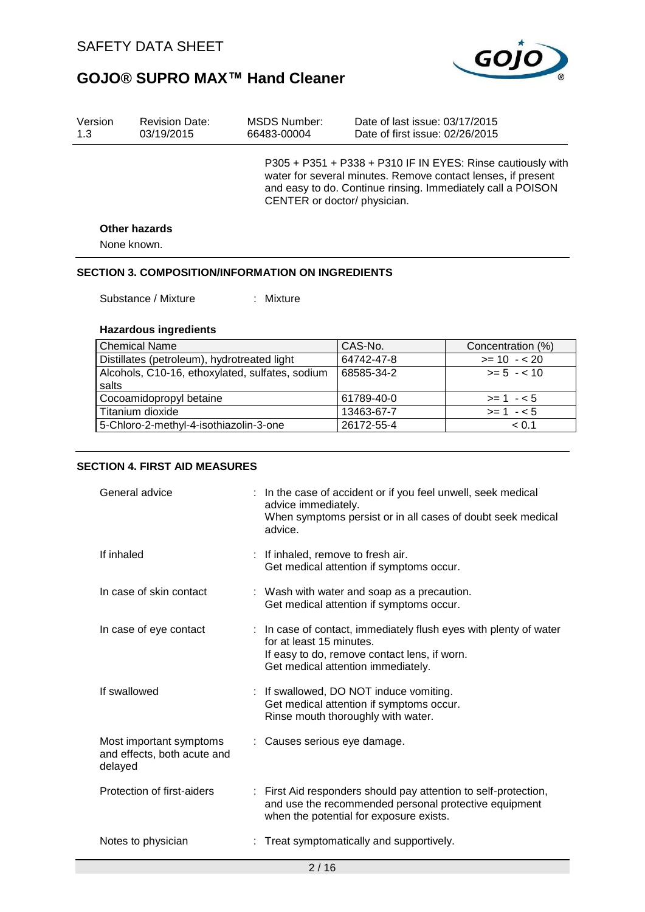

| Version<br><b>Revision Date:</b><br>1.3<br>03/19/2015 |                      | MSDS Number:<br>66483-00004 | Date of last issue: 03/17/2015<br>Date of first issue: 02/26/2015                                                                                                                          |
|-------------------------------------------------------|----------------------|-----------------------------|--------------------------------------------------------------------------------------------------------------------------------------------------------------------------------------------|
|                                                       |                      | CENTER or doctor/physician. | P305 + P351 + P338 + P310 IF IN EYES: Rinse cautiously with<br>water for several minutes. Remove contact lenses, if present<br>and easy to do. Continue rinsing. Immediately call a POISON |
|                                                       | <b>Other hazards</b> |                             |                                                                                                                                                                                            |
|                                                       | None known.          |                             |                                                                                                                                                                                            |

#### **SECTION 3. COMPOSITION/INFORMATION ON INGREDIENTS**

Substance / Mixture : Mixture

#### **Hazardous ingredients**

| <b>Chemical Name</b>                            | CAS-No.    | Concentration (%) |
|-------------------------------------------------|------------|-------------------|
| Distillates (petroleum), hydrotreated light     | 64742-47-8 | $>= 10 - 20$      |
| Alcohols, C10-16, ethoxylated, sulfates, sodium | 68585-34-2 | $>= 5 - 10$       |
| salts                                           |            |                   |
| Cocoamidopropyl betaine                         | 61789-40-0 | $>= 1 - 5$        |
| Titanium dioxide                                | 13463-67-7 | $>= 1 - 5$        |
| 5-Chloro-2-methyl-4-isothiazolin-3-one          | 26172-55-4 | < 0.1             |

#### **SECTION 4. FIRST AID MEASURES**

| General advice                                                    |  | : In the case of accident or if you feel unwell, seek medical<br>advice immediately.                                                                                                |  |
|-------------------------------------------------------------------|--|-------------------------------------------------------------------------------------------------------------------------------------------------------------------------------------|--|
|                                                                   |  | When symptoms persist or in all cases of doubt seek medical<br>advice.                                                                                                              |  |
| If inhaled                                                        |  | : If inhaled, remove to fresh air.<br>Get medical attention if symptoms occur.                                                                                                      |  |
| In case of skin contact                                           |  | : Wash with water and soap as a precaution.<br>Get medical attention if symptoms occur.                                                                                             |  |
| In case of eye contact                                            |  | : In case of contact, immediately flush eyes with plenty of water<br>for at least 15 minutes.<br>If easy to do, remove contact lens, if worn.<br>Get medical attention immediately. |  |
| If swallowed                                                      |  | : If swallowed, DO NOT induce vomiting.<br>Get medical attention if symptoms occur.<br>Rinse mouth thoroughly with water.                                                           |  |
| Most important symptoms<br>and effects, both acute and<br>delayed |  | : Causes serious eye damage.                                                                                                                                                        |  |
| Protection of first-aiders                                        |  | : First Aid responders should pay attention to self-protection,<br>and use the recommended personal protective equipment<br>when the potential for exposure exists.                 |  |
| Notes to physician                                                |  | Treat symptomatically and supportively.                                                                                                                                             |  |
| 2/16                                                              |  |                                                                                                                                                                                     |  |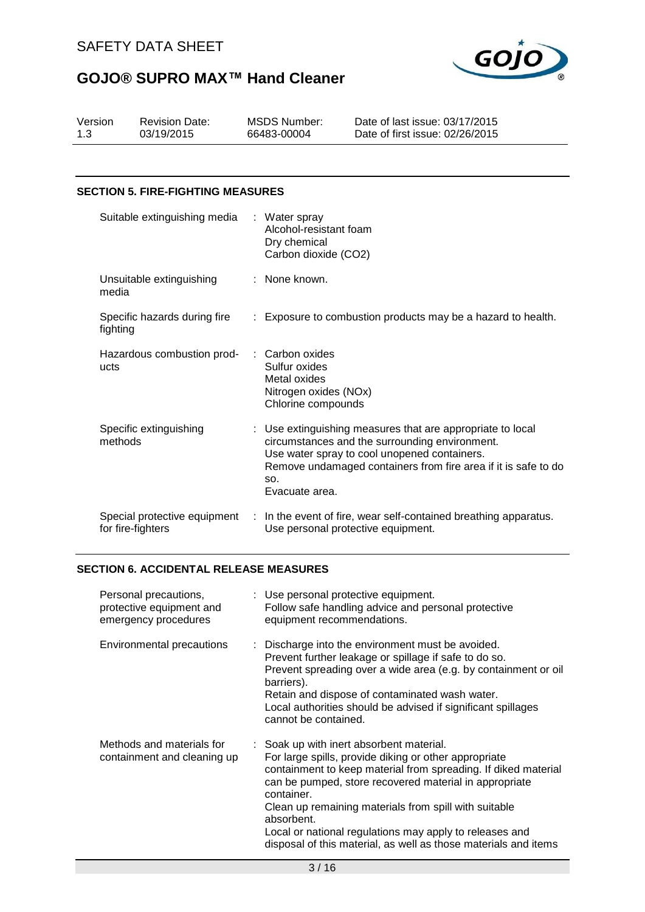

| 03/19/2015<br>Date of first issue: 02/26/2015<br>66483-00004<br>1.3 | Version | <b>Revision Date:</b> | MSDS Number: | Date of last issue: 03/17/2015 |
|---------------------------------------------------------------------|---------|-----------------------|--------------|--------------------------------|
|---------------------------------------------------------------------|---------|-----------------------|--------------|--------------------------------|

#### **SECTION 5. FIRE-FIGHTING MEASURES**

| Suitable extinguishing media                      |        | : Water spray<br>Alcohol-resistant foam<br>Dry chemical<br>Carbon dioxide (CO2)                                                                                                                                                                         |
|---------------------------------------------------|--------|---------------------------------------------------------------------------------------------------------------------------------------------------------------------------------------------------------------------------------------------------------|
| Unsuitable extinguishing<br>media                 |        | : None known.                                                                                                                                                                                                                                           |
| Specific hazards during fire<br>fighting          |        | : Exposure to combustion products may be a hazard to health.                                                                                                                                                                                            |
| Hazardous combustion prod-<br>ucts                |        | : Carbon oxides<br>Sulfur oxides<br>Metal oxides<br>Nitrogen oxides (NOx)<br>Chlorine compounds                                                                                                                                                         |
| Specific extinguishing<br>methods                 |        | : Use extinguishing measures that are appropriate to local<br>circumstances and the surrounding environment.<br>Use water spray to cool unopened containers.<br>Remove undamaged containers from fire area if it is safe to do<br>SO.<br>Evacuate area. |
| Special protective equipment<br>for fire-fighters | $\sim$ | In the event of fire, wear self-contained breathing apparatus.<br>Use personal protective equipment.                                                                                                                                                    |

#### **SECTION 6. ACCIDENTAL RELEASE MEASURES**

| Personal precautions,<br>protective equipment and<br>emergency procedures | : Use personal protective equipment.<br>Follow safe handling advice and personal protective<br>equipment recommendations.                                                                                                                                                                                                                                                                                                                        |
|---------------------------------------------------------------------------|--------------------------------------------------------------------------------------------------------------------------------------------------------------------------------------------------------------------------------------------------------------------------------------------------------------------------------------------------------------------------------------------------------------------------------------------------|
| Environmental precautions                                                 | : Discharge into the environment must be avoided.<br>Prevent further leakage or spillage if safe to do so.<br>Prevent spreading over a wide area (e.g. by containment or oil<br>barriers).<br>Retain and dispose of contaminated wash water.<br>Local authorities should be advised if significant spillages<br>cannot be contained.                                                                                                             |
| Methods and materials for<br>containment and cleaning up                  | : Soak up with inert absorbent material.<br>For large spills, provide diking or other appropriate<br>containment to keep material from spreading. If diked material<br>can be pumped, store recovered material in appropriate<br>container.<br>Clean up remaining materials from spill with suitable<br>absorbent.<br>Local or national regulations may apply to releases and<br>disposal of this material, as well as those materials and items |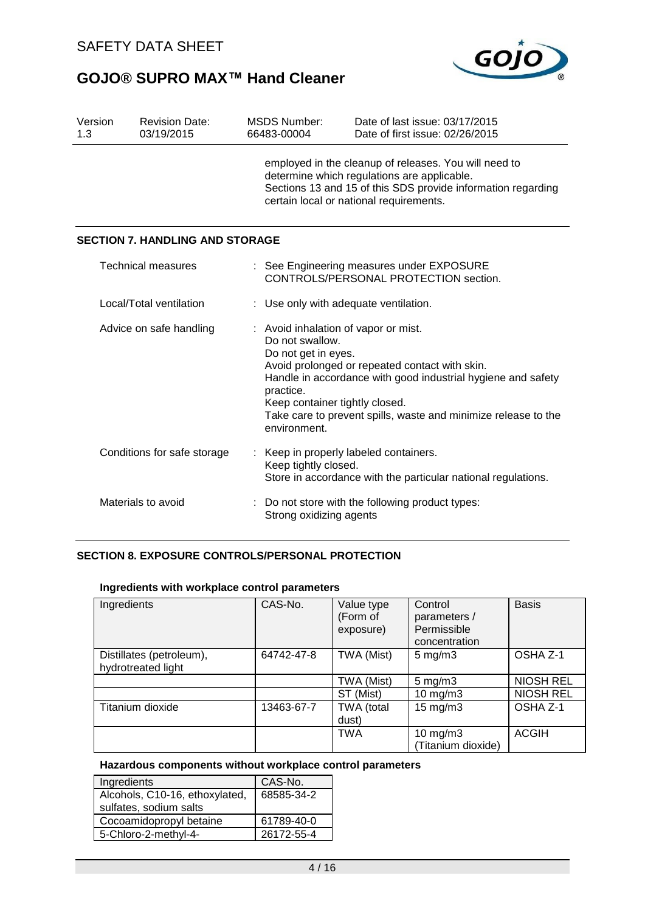

| Version<br>1.3              | <b>Revision Date:</b><br>03/19/2015    | <b>MSDS Number:</b><br>66483-00004                                                                                                                                                                                                                                                                                                | Date of last issue: 03/17/2015<br>Date of first issue: 02/26/2015                  |  |
|-----------------------------|----------------------------------------|-----------------------------------------------------------------------------------------------------------------------------------------------------------------------------------------------------------------------------------------------------------------------------------------------------------------------------------|------------------------------------------------------------------------------------|--|
|                             |                                        | employed in the cleanup of releases. You will need to<br>determine which regulations are applicable.<br>Sections 13 and 15 of this SDS provide information regarding<br>certain local or national requirements.                                                                                                                   |                                                                                    |  |
|                             | <b>SECTION 7. HANDLING AND STORAGE</b> |                                                                                                                                                                                                                                                                                                                                   |                                                                                    |  |
|                             | <b>Technical measures</b>              |                                                                                                                                                                                                                                                                                                                                   | : See Engineering measures under EXPOSURE<br>CONTROLS/PERSONAL PROTECTION section. |  |
| Local/Total ventilation     |                                        | : Use only with adequate ventilation.                                                                                                                                                                                                                                                                                             |                                                                                    |  |
| Advice on safe handling     |                                        | : Avoid inhalation of vapor or mist.<br>Do not swallow.<br>Do not get in eyes.<br>Avoid prolonged or repeated contact with skin.<br>Handle in accordance with good industrial hygiene and safety<br>practice.<br>Keep container tightly closed.<br>Take care to prevent spills, waste and minimize release to the<br>environment. |                                                                                    |  |
| Conditions for safe storage |                                        | Keep in properly labeled containers.<br>Keep tightly closed.<br>Store in accordance with the particular national regulations.                                                                                                                                                                                                     |                                                                                    |  |
| Materials to avoid          |                                        | : Do not store with the following product types:<br>Strong oxidizing agents                                                                                                                                                                                                                                                       |                                                                                    |  |

### **SECTION 8. EXPOSURE CONTROLS/PERSONAL PROTECTION**

#### **Ingredients with workplace control parameters**

| Ingredients                                    | CAS-No.    | Value type<br>(Form of<br>exposure) | Control<br>parameters /<br>Permissible<br>concentration | <b>Basis</b>     |
|------------------------------------------------|------------|-------------------------------------|---------------------------------------------------------|------------------|
| Distillates (petroleum),<br>hydrotreated light | 64742-47-8 | TWA (Mist)                          | $5 \text{ mg/m}$                                        | OSHA Z-1         |
|                                                |            | TWA (Mist)                          | $5 \text{ mg/m}$                                        | <b>NIOSH REL</b> |
|                                                |            | ST (Mist)                           | $10$ mg/m $3$                                           | <b>NIOSH REL</b> |
| Titanium dioxide                               | 13463-67-7 | TWA (total<br>dust)                 | $15 \text{ mg/m}$ 3                                     | OSHA Z-1         |
|                                                |            | <b>TWA</b>                          | $10 \text{ mg/m}$ 3<br>(Titanium dioxide)               | <b>ACGIH</b>     |

### **Hazardous components without workplace control parameters**

| Ingredients                    | CAS-No.    |
|--------------------------------|------------|
| Alcohols, C10-16, ethoxylated, | 68585-34-2 |
| sulfates, sodium salts         |            |
| Cocoamidopropyl betaine        | 61789-40-0 |
| 5-Chloro-2-methyl-4-           | 26172-55-4 |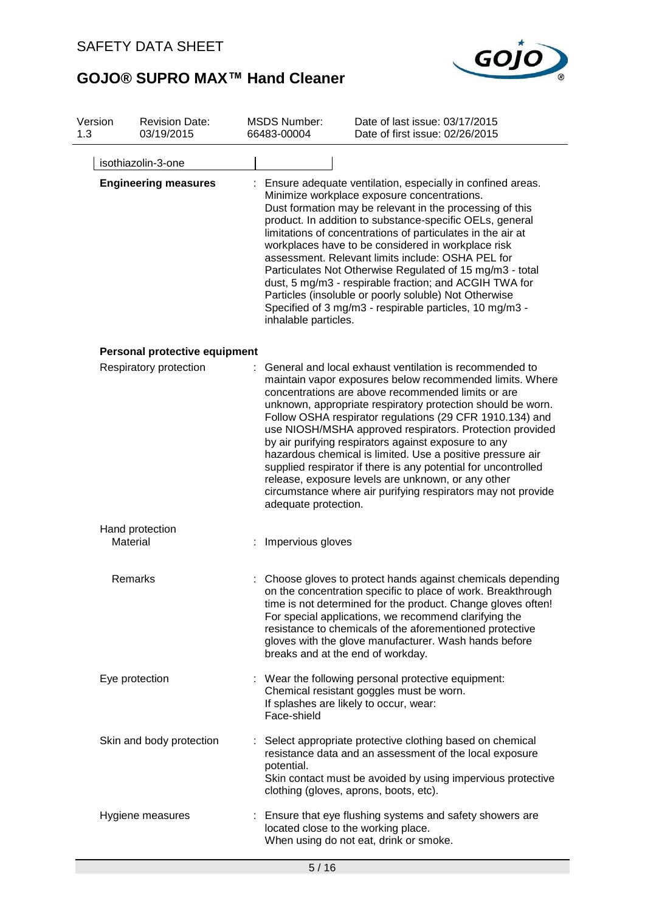

| Version<br>1.3              |          | <b>Revision Date:</b><br>03/19/2015                                                                                                                                                                                                                                                                                                                                                                                                                                                                                                                                                                                                                                           | <b>MSDS Number:</b><br>66483-00004  | Date of last issue: 03/17/2015<br>Date of first issue: 02/26/2015                                                                                                                                                                                                                                                                                                                                                                                                                                                                                                                                                                                                              |
|-----------------------------|----------|-------------------------------------------------------------------------------------------------------------------------------------------------------------------------------------------------------------------------------------------------------------------------------------------------------------------------------------------------------------------------------------------------------------------------------------------------------------------------------------------------------------------------------------------------------------------------------------------------------------------------------------------------------------------------------|-------------------------------------|--------------------------------------------------------------------------------------------------------------------------------------------------------------------------------------------------------------------------------------------------------------------------------------------------------------------------------------------------------------------------------------------------------------------------------------------------------------------------------------------------------------------------------------------------------------------------------------------------------------------------------------------------------------------------------|
|                             |          | isothiazolin-3-one                                                                                                                                                                                                                                                                                                                                                                                                                                                                                                                                                                                                                                                            |                                     |                                                                                                                                                                                                                                                                                                                                                                                                                                                                                                                                                                                                                                                                                |
| <b>Engineering measures</b> |          | Ensure adequate ventilation, especially in confined areas.<br>Minimize workplace exposure concentrations.<br>Dust formation may be relevant in the processing of this<br>product. In addition to substance-specific OELs, general<br>limitations of concentrations of particulates in the air at<br>workplaces have to be considered in workplace risk<br>assessment. Relevant limits include: OSHA PEL for<br>Particulates Not Otherwise Regulated of 15 mg/m3 - total<br>dust, 5 mg/m3 - respirable fraction; and ACGIH TWA for<br>Particles (insoluble or poorly soluble) Not Otherwise<br>Specified of 3 mg/m3 - respirable particles, 10 mg/m3 -<br>inhalable particles. |                                     |                                                                                                                                                                                                                                                                                                                                                                                                                                                                                                                                                                                                                                                                                |
|                             |          | Personal protective equipment                                                                                                                                                                                                                                                                                                                                                                                                                                                                                                                                                                                                                                                 |                                     |                                                                                                                                                                                                                                                                                                                                                                                                                                                                                                                                                                                                                                                                                |
|                             |          | Respiratory protection                                                                                                                                                                                                                                                                                                                                                                                                                                                                                                                                                                                                                                                        | adequate protection.                | General and local exhaust ventilation is recommended to<br>maintain vapor exposures below recommended limits. Where<br>concentrations are above recommended limits or are<br>unknown, appropriate respiratory protection should be worn.<br>Follow OSHA respirator regulations (29 CFR 1910.134) and<br>use NIOSH/MSHA approved respirators. Protection provided<br>by air purifying respirators against exposure to any<br>hazardous chemical is limited. Use a positive pressure air<br>supplied respirator if there is any potential for uncontrolled<br>release, exposure levels are unknown, or any other<br>circumstance where air purifying respirators may not provide |
|                             | Material | Hand protection                                                                                                                                                                                                                                                                                                                                                                                                                                                                                                                                                                                                                                                               | Impervious gloves                   |                                                                                                                                                                                                                                                                                                                                                                                                                                                                                                                                                                                                                                                                                |
|                             |          | Remarks                                                                                                                                                                                                                                                                                                                                                                                                                                                                                                                                                                                                                                                                       | breaks and at the end of workday.   | : Choose gloves to protect hands against chemicals depending<br>on the concentration specific to place of work. Breakthrough<br>time is not determined for the product. Change gloves often!<br>For special applications, we recommend clarifying the<br>resistance to chemicals of the aforementioned protective<br>gloves with the glove manufacturer. Wash hands before                                                                                                                                                                                                                                                                                                     |
|                             |          | Eye protection                                                                                                                                                                                                                                                                                                                                                                                                                                                                                                                                                                                                                                                                | Face-shield                         | : Wear the following personal protective equipment:<br>Chemical resistant goggles must be worn.<br>If splashes are likely to occur, wear:                                                                                                                                                                                                                                                                                                                                                                                                                                                                                                                                      |
|                             |          | Skin and body protection                                                                                                                                                                                                                                                                                                                                                                                                                                                                                                                                                                                                                                                      | potential.                          | : Select appropriate protective clothing based on chemical<br>resistance data and an assessment of the local exposure<br>Skin contact must be avoided by using impervious protective<br>clothing (gloves, aprons, boots, etc).                                                                                                                                                                                                                                                                                                                                                                                                                                                 |
|                             |          | Hygiene measures                                                                                                                                                                                                                                                                                                                                                                                                                                                                                                                                                                                                                                                              | located close to the working place. | : Ensure that eye flushing systems and safety showers are<br>When using do not eat, drink or smoke.                                                                                                                                                                                                                                                                                                                                                                                                                                                                                                                                                                            |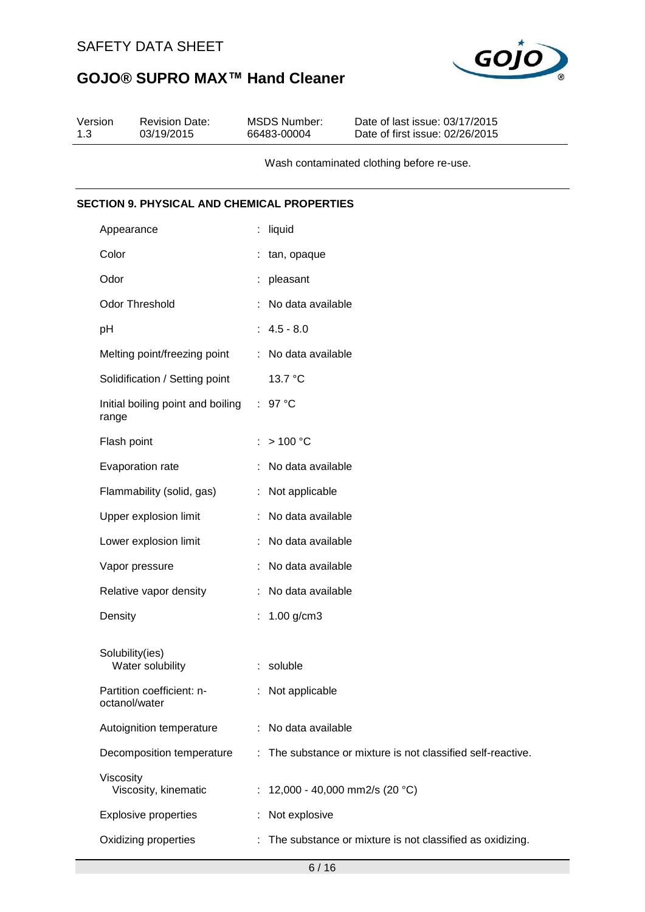

| Version<br>1.3 | <b>Revision Date:</b><br>03/19/2015                |    | <b>MSDS Number:</b><br>66483-00004 | Date of last issue: 03/17/2015<br>Date of first issue: 02/26/2015 |
|----------------|----------------------------------------------------|----|------------------------------------|-------------------------------------------------------------------|
|                |                                                    |    |                                    | Wash contaminated clothing before re-use.                         |
|                | <b>SECTION 9. PHYSICAL AND CHEMICAL PROPERTIES</b> |    |                                    |                                                                   |
|                | Appearance                                         | t. | liquid                             |                                                                   |
| Color          |                                                    |    | : tan, opaque                      |                                                                   |
| Odor           |                                                    |    | pleasant                           |                                                                   |
|                | Odor Threshold                                     |    | No data available                  |                                                                   |
| pH             |                                                    |    | $: 4.5 - 8.0$                      |                                                                   |
|                | Melting point/freezing point                       |    | : No data available                |                                                                   |
|                | Solidification / Setting point                     |    | 13.7 °C                            |                                                                   |
| range          | Initial boiling point and boiling                  |    | : 97 °C                            |                                                                   |
|                | Flash point                                        |    | >100 °C                            |                                                                   |
|                | Evaporation rate                                   |    | No data available                  |                                                                   |
|                | Flammability (solid, gas)                          |    | : Not applicable                   |                                                                   |
|                | Upper explosion limit                              | t. | No data available                  |                                                                   |
|                | Lower explosion limit                              |    | No data available                  |                                                                   |
|                | Vapor pressure                                     |    | : No data available                |                                                                   |
|                | Relative vapor density                             |    | : No data available                |                                                                   |
| Density        |                                                    |    | $1.00$ g/cm3                       |                                                                   |
|                | Solubility(ies)<br>Water solubility                |    | : soluble                          |                                                                   |
|                | Partition coefficient: n-<br>octanol/water         |    | Not applicable                     |                                                                   |
|                | Autoignition temperature                           |    | No data available                  |                                                                   |
|                | Decomposition temperature                          |    |                                    | The substance or mixture is not classified self-reactive.         |
| Viscosity      | Viscosity, kinematic                               |    |                                    | : 12,000 - 40,000 mm2/s (20 °C)                                   |
|                | <b>Explosive properties</b>                        |    | Not explosive                      |                                                                   |
|                | Oxidizing properties                               |    |                                    | The substance or mixture is not classified as oxidizing.          |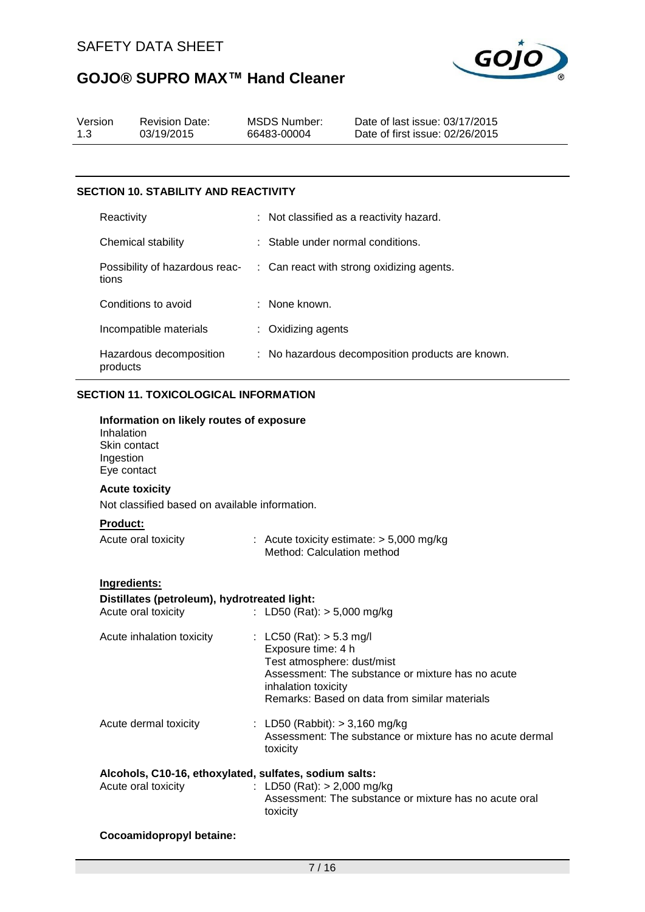

| Version | <b>Revision Date:</b> | MSDS Number: | Date of last issue: 03/17/2015  |
|---------|-----------------------|--------------|---------------------------------|
| 1.3     | 03/19/2015            | 66483-00004  | Date of first issue: 02/26/2015 |
|         |                       |              |                                 |

#### **SECTION 10. STABILITY AND REACTIVITY**

| Reactivity                              | : Not classified as a reactivity hazard.         |
|-----------------------------------------|--------------------------------------------------|
| Chemical stability                      | $\therefore$ Stable under normal conditions.     |
| Possibility of hazardous reac-<br>tions | : Can react with strong oxidizing agents.        |
| Conditions to avoid                     | : None known.                                    |
| Incompatible materials                  | $:$ Oxidizing agents                             |
| Hazardous decomposition<br>products     | : No hazardous decomposition products are known. |

#### **SECTION 11. TOXICOLOGICAL INFORMATION**

#### **Information on likely routes of exposure**

| Inhalation   |  |
|--------------|--|
| Skin contact |  |
| Ingestion    |  |
| Eye contact  |  |

#### **Acute toxicity**

Not classified based on available information.

#### **Product:**

| Acute oral toxicity | : Acute toxicity estimate: $> 5,000$ mg/kg<br>Method: Calculation method |
|---------------------|--------------------------------------------------------------------------|
|                     |                                                                          |

#### **Ingredients:**

| Distillates (petroleum), hydrotreated light:                                  |                                                                                                                                                                                                             |
|-------------------------------------------------------------------------------|-------------------------------------------------------------------------------------------------------------------------------------------------------------------------------------------------------------|
| Acute oral toxicity                                                           | : LD50 (Rat): $> 5,000$ mg/kg                                                                                                                                                                               |
| Acute inhalation toxicity                                                     | : LC50 (Rat): $> 5.3$ mg/l<br>Exposure time: 4 h<br>Test atmosphere: dust/mist<br>Assessment: The substance or mixture has no acute<br>inhalation toxicity<br>Remarks: Based on data from similar materials |
| Acute dermal toxicity                                                         | : LD50 (Rabbit): $> 3,160$ mg/kg<br>Assessment: The substance or mixture has no acute dermal<br>toxicity                                                                                                    |
| Alcohols, C10-16, ethoxylated, sulfates, sodium salts:<br>Acute oral toxicity | $\cdot$ TD50 (Rat) $\sim$ 2.000 ma/ka                                                                                                                                                                       |

#### Acute oral toxicity : LD50 (Rat): > 2,000 mg/kg Assessment: The substance or mixture has no acute oral toxicity

#### **Cocoamidopropyl betaine:**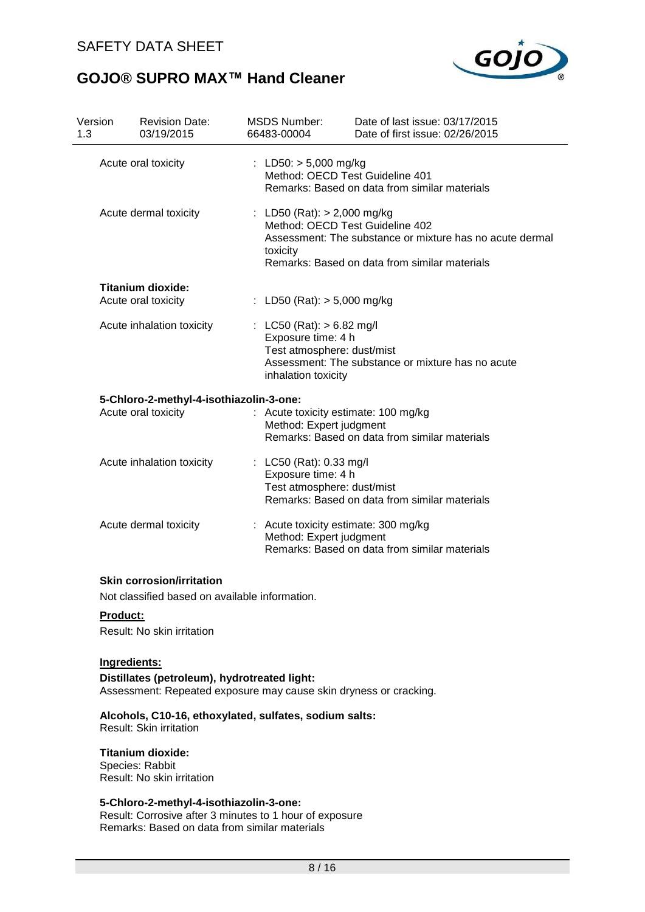

| Version<br>1.3 | <b>Revision Date:</b><br>03/19/2015            | <b>MSDS Number:</b><br>66483-00004                                       | Date of last issue: 03/17/2015<br>Date of first issue: 02/26/2015                                                                            |
|----------------|------------------------------------------------|--------------------------------------------------------------------------|----------------------------------------------------------------------------------------------------------------------------------------------|
|                | Acute oral toxicity                            | : LD50: $> 5,000$ mg/kg                                                  | Method: OECD Test Guideline 401<br>Remarks: Based on data from similar materials                                                             |
|                | Acute dermal toxicity                          | : LD50 (Rat): $> 2,000$ mg/kg<br>toxicity                                | Method: OECD Test Guideline 402<br>Assessment: The substance or mixture has no acute dermal<br>Remarks: Based on data from similar materials |
|                | <b>Titanium dioxide:</b>                       |                                                                          |                                                                                                                                              |
|                | Acute oral toxicity                            | : LD50 (Rat): $> 5,000$ mg/kg                                            |                                                                                                                                              |
|                | Acute inhalation toxicity                      | : LC50 (Rat): $> 6.82$ mg/l<br>Exposure time: 4 h<br>inhalation toxicity | Test atmosphere: dust/mist<br>Assessment: The substance or mixture has no acute                                                              |
|                | 5-Chloro-2-methyl-4-isothiazolin-3-one:        |                                                                          |                                                                                                                                              |
|                | Acute oral toxicity                            |                                                                          | : Acute toxicity estimate: 100 mg/kg<br>Method: Expert judgment<br>Remarks: Based on data from similar materials                             |
|                | Acute inhalation toxicity                      | : LC50 (Rat): 0.33 mg/l<br>Exposure time: 4 h                            | Test atmosphere: dust/mist<br>Remarks: Based on data from similar materials                                                                  |
|                | Acute dermal toxicity                          |                                                                          | : Acute toxicity estimate: 300 mg/kg<br>Method: Expert judgment<br>Remarks: Based on data from similar materials                             |
|                | <b>Skin corrosion/irritation</b>               |                                                                          |                                                                                                                                              |
|                | Not classified based on available information. |                                                                          |                                                                                                                                              |

**Product:**

Result: No skin irritation

#### **Ingredients:**

**Distillates (petroleum), hydrotreated light:** Assessment: Repeated exposure may cause skin dryness or cracking.

#### **Alcohols, C10-16, ethoxylated, sulfates, sodium salts:**

Result: Skin irritation

#### **Titanium dioxide:**

Species: Rabbit Result: No skin irritation

#### **5-Chloro-2-methyl-4-isothiazolin-3-one:**

Result: Corrosive after 3 minutes to 1 hour of exposure Remarks: Based on data from similar materials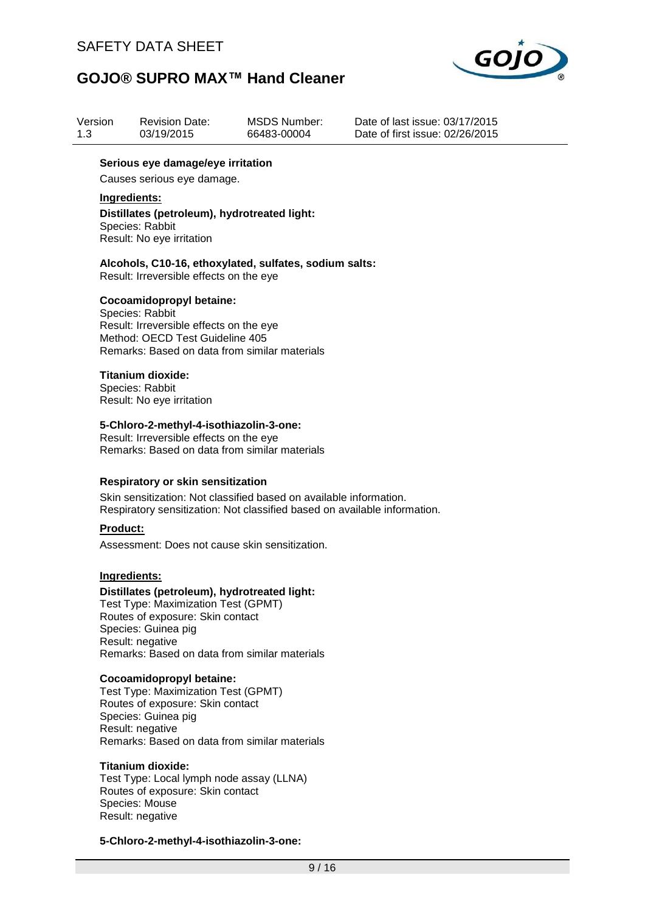

| Version | <b>Revision Date:</b> | MSDS Number: |
|---------|-----------------------|--------------|
| 1.3     | 03/19/2015            | 66483-00004  |

Date of last issue: 03/17/2015 Date of first issue: 02/26/2015

#### **Serious eye damage/eye irritation**

Causes serious eye damage.

#### **Ingredients:**

#### **Distillates (petroleum), hydrotreated light:** Species: Rabbit Result: No eye irritation

**Alcohols, C10-16, ethoxylated, sulfates, sodium salts:** Result: Irreversible effects on the eye

#### **Cocoamidopropyl betaine:**

Species: Rabbit Result: Irreversible effects on the eye Method: OECD Test Guideline 405 Remarks: Based on data from similar materials

#### **Titanium dioxide:**

Species: Rabbit Result: No eye irritation

#### **5-Chloro-2-methyl-4-isothiazolin-3-one:**

Result: Irreversible effects on the eye Remarks: Based on data from similar materials

#### **Respiratory or skin sensitization**

Skin sensitization: Not classified based on available information. Respiratory sensitization: Not classified based on available information.

#### **Product:**

Assessment: Does not cause skin sensitization.

#### **Ingredients:**

#### **Distillates (petroleum), hydrotreated light:**

Test Type: Maximization Test (GPMT) Routes of exposure: Skin contact Species: Guinea pig Result: negative Remarks: Based on data from similar materials

#### **Cocoamidopropyl betaine:**

Test Type: Maximization Test (GPMT) Routes of exposure: Skin contact Species: Guinea pig Result: negative Remarks: Based on data from similar materials

#### **Titanium dioxide:**

Test Type: Local lymph node assay (LLNA) Routes of exposure: Skin contact Species: Mouse Result: negative

#### **5-Chloro-2-methyl-4-isothiazolin-3-one:**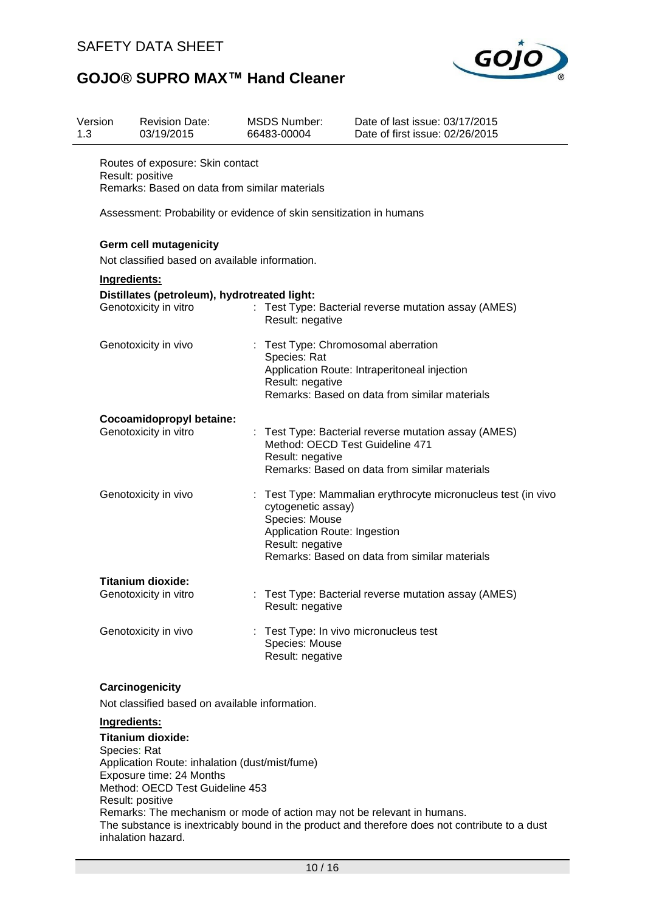

| Version<br>1.3 | <b>Revision Date:</b><br>03/19/2015                                                                                                    | <b>MSDS Number:</b><br>66483-00004                                                            | Date of last issue: 03/17/2015<br>Date of first issue: 02/26/2015                                                                      |
|----------------|----------------------------------------------------------------------------------------------------------------------------------------|-----------------------------------------------------------------------------------------------|----------------------------------------------------------------------------------------------------------------------------------------|
|                | Routes of exposure: Skin contact<br>Result: positive<br>Remarks: Based on data from similar materials                                  |                                                                                               |                                                                                                                                        |
|                |                                                                                                                                        | Assessment: Probability or evidence of skin sensitization in humans                           |                                                                                                                                        |
|                | <b>Germ cell mutagenicity</b><br>Not classified based on available information.                                                        |                                                                                               |                                                                                                                                        |
|                | Ingredients:                                                                                                                           |                                                                                               |                                                                                                                                        |
|                | Distillates (petroleum), hydrotreated light:<br>Genotoxicity in vitro                                                                  | Result: negative                                                                              | : Test Type: Bacterial reverse mutation assay (AMES)                                                                                   |
|                | Genotoxicity in vivo                                                                                                                   | Species: Rat<br>Result: negative                                                              | : Test Type: Chromosomal aberration<br>Application Route: Intraperitoneal injection<br>Remarks: Based on data from similar materials   |
|                | Cocoamidopropyl betaine:<br>Genotoxicity in vitro                                                                                      | Result: negative                                                                              | Test Type: Bacterial reverse mutation assay (AMES)<br>Method: OECD Test Guideline 471<br>Remarks: Based on data from similar materials |
|                | Genotoxicity in vivo                                                                                                                   | ÷<br>cytogenetic assay)<br>Species: Mouse<br>Application Route: Ingestion<br>Result: negative | Test Type: Mammalian erythrocyte micronucleus test (in vivo<br>Remarks: Based on data from similar materials                           |
|                | <b>Titanium dioxide:</b><br>Genotoxicity in vitro                                                                                      | Result: negative                                                                              | Test Type: Bacterial reverse mutation assay (AMES)                                                                                     |
|                | Genotoxicity in vivo                                                                                                                   | ÷<br>Species: Mouse<br>Result: negative                                                       | Test Type: In vivo micronucleus test                                                                                                   |
|                | Carcinogenicity<br>Not classified based on available information.                                                                      |                                                                                               |                                                                                                                                        |
|                | Ingredients:<br><b>Titanium dioxide:</b><br>Species: Rat<br>Application Route: inhalation (dust/mist/fume)<br>Exposure time: 24 Months |                                                                                               |                                                                                                                                        |

Method: OECD Test Guideline 453

Result: positive

Remarks: The mechanism or mode of action may not be relevant in humans.

The substance is inextricably bound in the product and therefore does not contribute to a dust inhalation hazard.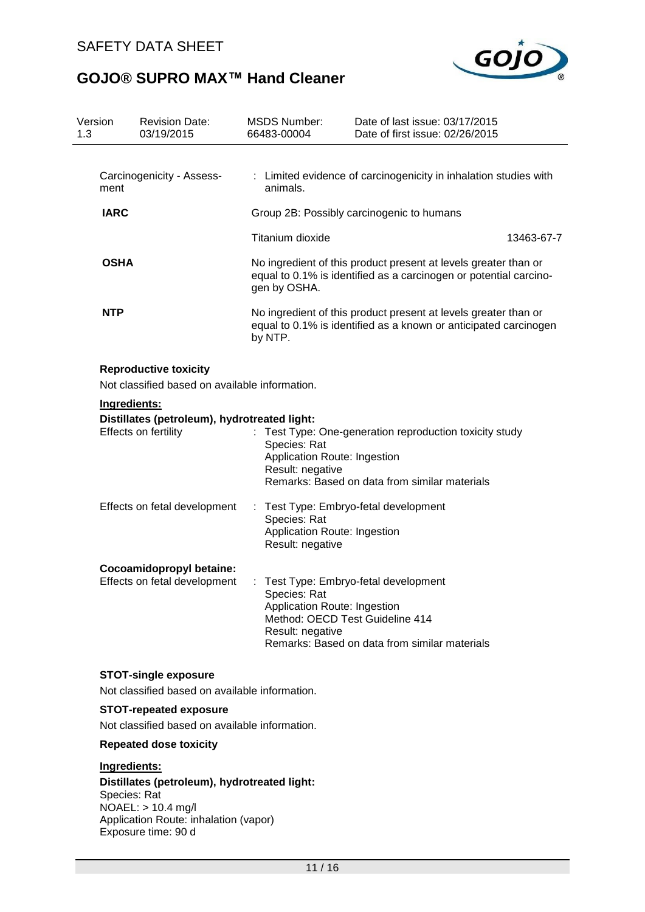

| Version<br>1.3 | <b>Revision Date:</b><br>03/19/2015                                                  | <b>MSDS Number:</b><br>66483-00004                                                                        | Date of last issue: 03/17/2015<br>Date of first issue: 02/26/2015                                                                      |
|----------------|--------------------------------------------------------------------------------------|-----------------------------------------------------------------------------------------------------------|----------------------------------------------------------------------------------------------------------------------------------------|
| ment           | Carcinogenicity - Assess-                                                            | animals.                                                                                                  | : Limited evidence of carcinogenicity in inhalation studies with                                                                       |
| <b>IARC</b>    |                                                                                      |                                                                                                           | Group 2B: Possibly carcinogenic to humans                                                                                              |
|                |                                                                                      | Titanium dioxide                                                                                          | 13463-67-7                                                                                                                             |
| <b>OSHA</b>    |                                                                                      | gen by OSHA.                                                                                              | No ingredient of this product present at levels greater than or<br>equal to 0.1% is identified as a carcinogen or potential carcino-   |
| <b>NTP</b>     |                                                                                      | by NTP.                                                                                                   | No ingredient of this product present at levels greater than or<br>equal to 0.1% is identified as a known or anticipated carcinogen    |
|                | <b>Reproductive toxicity</b><br>Not classified based on available information.       |                                                                                                           |                                                                                                                                        |
|                | Ingredients:                                                                         |                                                                                                           |                                                                                                                                        |
|                | Distillates (petroleum), hydrotreated light:                                         |                                                                                                           |                                                                                                                                        |
|                | Effects on fertility                                                                 | Species: Rat<br>Result: negative                                                                          | Test Type: One-generation reproduction toxicity study<br>Application Route: Ingestion<br>Remarks: Based on data from similar materials |
|                | Effects on fetal development                                                         | : Test Type: Embryo-fetal development<br>Species: Rat<br>Application Route: Ingestion<br>Result: negative |                                                                                                                                        |
|                | Cocoamidopropyl betaine:<br>Effects on fetal development                             | Species: Rat<br>Application Route: Ingestion<br>Result: negative                                          | Test Type: Embryo-fetal development<br>Method: OECD Test Guideline 414<br>Remarks: Based on data from similar materials                |
|                | <b>STOT-single exposure</b><br>Not classified based on available information.        |                                                                                                           |                                                                                                                                        |
|                | <b>STOT-repeated exposure</b>                                                        |                                                                                                           |                                                                                                                                        |
|                | Not classified based on available information.                                       |                                                                                                           |                                                                                                                                        |
|                | <b>Repeated dose toxicity</b>                                                        |                                                                                                           |                                                                                                                                        |
|                | Ingredients:                                                                         |                                                                                                           |                                                                                                                                        |
|                | $\mathsf{D}_i$ otillatea (natuala $\mathsf{u}_i$ ) kuduatuaatad liekt $\mathsf{u}_i$ |                                                                                                           |                                                                                                                                        |

**Distillates (petroleum), hydrotreated light:** Species: Rat NOAEL: > 10.4 mg/l Application Route: inhalation (vapor) Exposure time: 90 d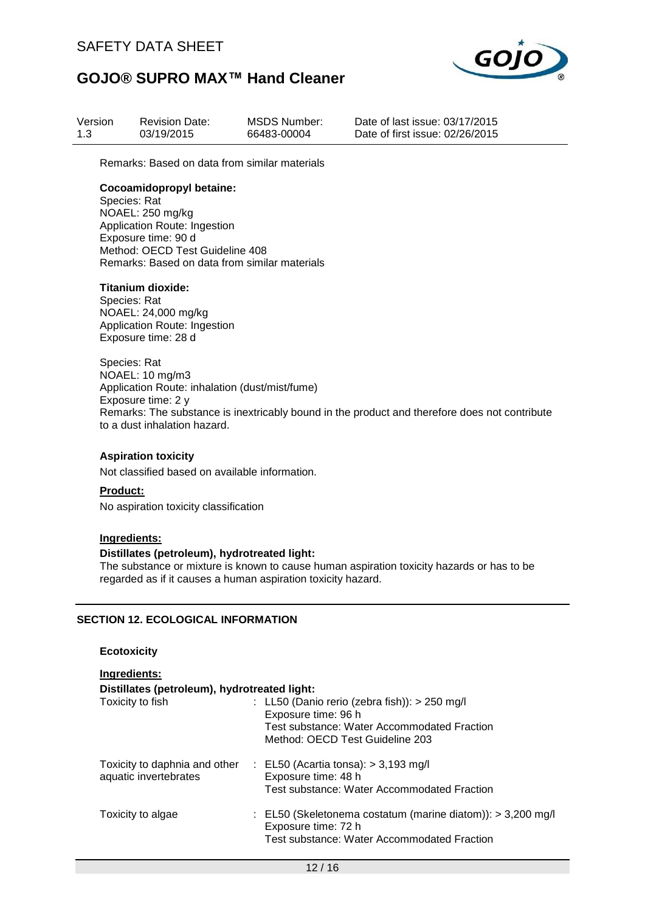

| Version | <b>Revision Date:</b> | MSDS Number: |
|---------|-----------------------|--------------|
| 1.3     | 03/19/2015            | 66483-00004  |

Date of last issue: 03/17/2015 Date of first issue: 02/26/2015

Remarks: Based on data from similar materials

#### **Cocoamidopropyl betaine:**

Species: Rat NOAEL: 250 mg/kg Application Route: Ingestion Exposure time: 90 d Method: OECD Test Guideline 408 Remarks: Based on data from similar materials

#### **Titanium dioxide:**

Species: Rat NOAEL: 24,000 mg/kg Application Route: Ingestion Exposure time: 28 d

Species: Rat NOAEL: 10 mg/m3 Application Route: inhalation (dust/mist/fume) Exposure time: 2 y Remarks: The substance is inextricably bound in the product and therefore does not contribute to a dust inhalation hazard.

#### **Aspiration toxicity**

Not classified based on available information.

#### **Product:**

No aspiration toxicity classification

#### **Ingredients:**

#### **Distillates (petroleum), hydrotreated light:**

The substance or mixture is known to cause human aspiration toxicity hazards or has to be regarded as if it causes a human aspiration toxicity hazard.

#### **SECTION 12. ECOLOGICAL INFORMATION**

#### **Ecotoxicity**

| Ingredients:                                           |                                                                                                                                                          |
|--------------------------------------------------------|----------------------------------------------------------------------------------------------------------------------------------------------------------|
| Distillates (petroleum), hydrotreated light:           |                                                                                                                                                          |
| Toxicity to fish                                       | : LL50 (Danio rerio (zebra fish)): $> 250$ mg/l<br>Exposure time: 96 h<br>Test substance: Water Accommodated Fraction<br>Method: OECD Test Guideline 203 |
| Toxicity to daphnia and other<br>aquatic invertebrates | $\therefore$ EL50 (Acartia tonsa): > 3,193 mg/l<br>Exposure time: 48 h<br>Test substance: Water Accommodated Fraction                                    |
| Toxicity to algae                                      | : EL50 (Skeletonema costatum (marine diatom)): $>$ 3,200 mg/l<br>Exposure time: 72 h<br>Test substance: Water Accommodated Fraction                      |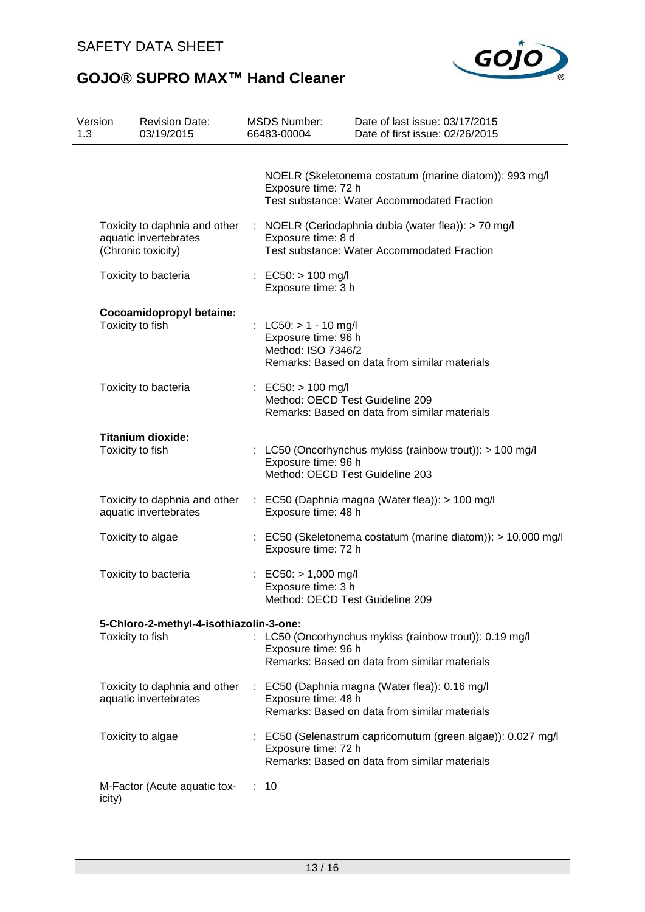

| Version<br>1.3    | <b>Revision Date:</b><br>03/19/2015                                          |    | <b>MSDS Number:</b><br>66483-00004                                              | Date of last issue: 03/17/2015<br>Date of first issue: 02/26/2015                                             |
|-------------------|------------------------------------------------------------------------------|----|---------------------------------------------------------------------------------|---------------------------------------------------------------------------------------------------------------|
|                   |                                                                              |    | Exposure time: 72 h                                                             | NOELR (Skeletonema costatum (marine diatom)): 993 mg/l<br><b>Test substance: Water Accommodated Fraction</b>  |
|                   | Toxicity to daphnia and other<br>aquatic invertebrates<br>(Chronic toxicity) |    | Exposure time: 8 d                                                              | : NOELR (Ceriodaphnia dubia (water flea)): > 70 mg/l<br>Test substance: Water Accommodated Fraction           |
|                   | Toxicity to bacteria                                                         |    | : EC50: $> 100$ mg/l<br>Exposure time: 3 h                                      |                                                                                                               |
| Toxicity to fish  | Cocoamidopropyl betaine:                                                     |    | : LC50: > 1 - 10 mg/l<br>Exposure time: 96 h<br>Method: ISO 7346/2              | Remarks: Based on data from similar materials                                                                 |
|                   | Toxicity to bacteria                                                         |    | : EC50: $> 100$ mg/l<br>Method: OECD Test Guideline 209                         | Remarks: Based on data from similar materials                                                                 |
| Toxicity to fish  | <b>Titanium dioxide:</b>                                                     |    | Exposure time: 96 h<br>Method: OECD Test Guideline 203                          | : LC50 (Oncorhynchus mykiss (rainbow trout)): > 100 mg/l                                                      |
|                   | Toxicity to daphnia and other<br>aquatic invertebrates                       |    | Exposure time: 48 h                                                             | $\therefore$ EC50 (Daphnia magna (Water flea)): > 100 mg/l                                                    |
| Toxicity to algae |                                                                              |    | Exposure time: 72 h                                                             | : EC50 (Skeletonema costatum (marine diatom)): > 10,000 mg/l                                                  |
|                   | Toxicity to bacteria                                                         |    | : EC50: $> 1,000$ mg/l<br>Exposure time: 3 h<br>Method: OECD Test Guideline 209 |                                                                                                               |
| Toxicity to fish  | 5-Chloro-2-methyl-4-isothiazolin-3-one:                                      |    | Exposure time: 96 h                                                             | : LC50 (Oncorhynchus mykiss (rainbow trout)): 0.19 mg/l<br>Remarks: Based on data from similar materials      |
|                   | Toxicity to daphnia and other<br>aquatic invertebrates                       |    | Exposure time: 48 h                                                             | : EC50 (Daphnia magna (Water flea)): 0.16 mg/l<br>Remarks: Based on data from similar materials               |
| Toxicity to algae |                                                                              |    | Exposure time: 72 h                                                             | : EC50 (Selenastrum capricornutum (green algae)): 0.027 mg/l<br>Remarks: Based on data from similar materials |
| icity)            | M-Factor (Acute aquatic tox-                                                 | ÷. | 10                                                                              |                                                                                                               |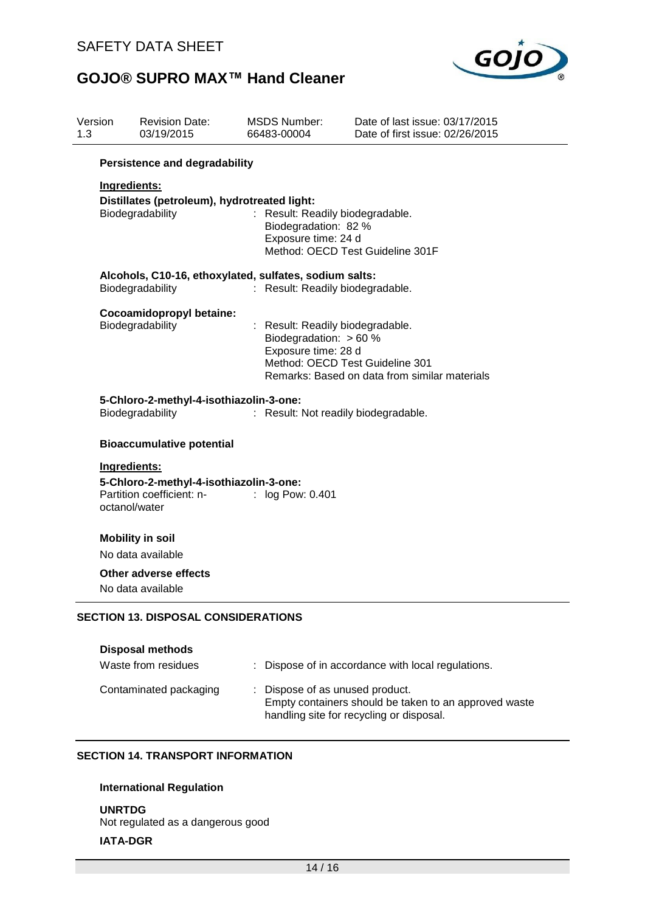

| Version<br>1.3 | <b>Revision Date:</b><br>03/19/2015                    | <b>MSDS Number:</b><br>66483-00004            | Date of last issue: 03/17/2015<br>Date of first issue: 02/26/2015 |  |  |  |
|----------------|--------------------------------------------------------|-----------------------------------------------|-------------------------------------------------------------------|--|--|--|
|                | <b>Persistence and degradability</b>                   |                                               |                                                                   |  |  |  |
|                | Ingredients:                                           |                                               |                                                                   |  |  |  |
|                | Distillates (petroleum), hydrotreated light:           |                                               |                                                                   |  |  |  |
|                | Biodegradability                                       | : Result: Readily biodegradable.              |                                                                   |  |  |  |
|                |                                                        | Biodegradation: 82 %                          |                                                                   |  |  |  |
|                |                                                        | Exposure time: 24 d                           | Method: OECD Test Guideline 301F                                  |  |  |  |
|                | Alcohols, C10-16, ethoxylated, sulfates, sodium salts: |                                               |                                                                   |  |  |  |
|                | Biodegradability                                       | : Result: Readily biodegradable.              |                                                                   |  |  |  |
|                | Cocoamidopropyl betaine:                               |                                               |                                                                   |  |  |  |
|                | Biodegradability                                       | : Result: Readily biodegradable.              |                                                                   |  |  |  |
|                |                                                        | Biodegradation: > 60 %<br>Exposure time: 28 d |                                                                   |  |  |  |
|                |                                                        |                                               | Method: OECD Test Guideline 301                                   |  |  |  |
|                |                                                        |                                               | Remarks: Based on data from similar materials                     |  |  |  |
|                | 5-Chloro-2-methyl-4-isothiazolin-3-one:                |                                               |                                                                   |  |  |  |
|                | Biodegradability                                       | : Result: Not readily biodegradable.          |                                                                   |  |  |  |
|                | <b>Bioaccumulative potential</b>                       |                                               |                                                                   |  |  |  |
|                | Ingredients:                                           |                                               |                                                                   |  |  |  |
|                | 5-Chloro-2-methyl-4-isothiazolin-3-one:                |                                               |                                                                   |  |  |  |
|                | Partition coefficient: n-                              | : log Pow: 0.401                              |                                                                   |  |  |  |
|                | octanol/water                                          |                                               |                                                                   |  |  |  |
|                | <b>Mobility in soil</b>                                |                                               |                                                                   |  |  |  |
|                | No data available                                      |                                               |                                                                   |  |  |  |
|                | Other adverse effects                                  |                                               |                                                                   |  |  |  |
|                | No data available                                      |                                               |                                                                   |  |  |  |
|                | <b>SECTION 13. DISPOSAL CONSIDERATIONS</b>             |                                               |                                                                   |  |  |  |
|                |                                                        |                                               |                                                                   |  |  |  |
|                | <b>Disposal methods</b>                                |                                               |                                                                   |  |  |  |
|                | Waste from residues                                    |                                               | Dispose of in accordance with local regulations.                  |  |  |  |
|                | Contaminated packaging                                 | Dispose of as unused product.                 |                                                                   |  |  |  |
|                |                                                        |                                               | Empty containers should be taken to an approved waste             |  |  |  |
|                |                                                        |                                               | handling site for recycling or disposal.                          |  |  |  |

#### **SECTION 14. TRANSPORT INFORMATION**

#### **International Regulation**

**UNRTDG** Not regulated as a dangerous good **IATA-DGR**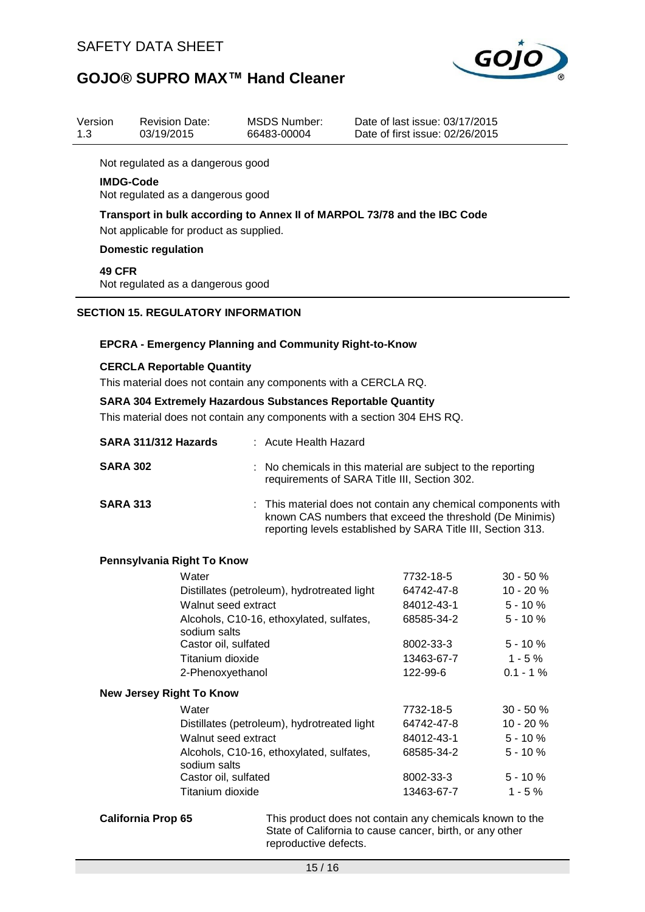

| Version<br>1.3                                                           | <b>Revision Date:</b><br>03/19/2015                                                                                                                                                                        | <b>MSDS Number:</b><br>66483-00004 | Date of last issue: 03/17/2015<br>Date of first issue: 02/26/2015                                            |                          |
|--------------------------------------------------------------------------|------------------------------------------------------------------------------------------------------------------------------------------------------------------------------------------------------------|------------------------------------|--------------------------------------------------------------------------------------------------------------|--------------------------|
|                                                                          | Not regulated as a dangerous good                                                                                                                                                                          |                                    |                                                                                                              |                          |
|                                                                          | <b>IMDG-Code</b><br>Not regulated as a dangerous good                                                                                                                                                      |                                    |                                                                                                              |                          |
|                                                                          | Transport in bulk according to Annex II of MARPOL 73/78 and the IBC Code<br>Not applicable for product as supplied.                                                                                        |                                    |                                                                                                              |                          |
|                                                                          | <b>Domestic regulation</b>                                                                                                                                                                                 |                                    |                                                                                                              |                          |
|                                                                          | 49 CFR<br>Not regulated as a dangerous good                                                                                                                                                                |                                    |                                                                                                              |                          |
|                                                                          | <b>SECTION 15. REGULATORY INFORMATION</b>                                                                                                                                                                  |                                    |                                                                                                              |                          |
|                                                                          |                                                                                                                                                                                                            |                                    |                                                                                                              |                          |
|                                                                          | <b>EPCRA - Emergency Planning and Community Right-to-Know</b>                                                                                                                                              |                                    |                                                                                                              |                          |
| <b>CERCLA Reportable Quantity</b>                                        |                                                                                                                                                                                                            |                                    |                                                                                                              |                          |
| This material does not contain any components with a CERCLA RQ.          |                                                                                                                                                                                                            |                                    |                                                                                                              |                          |
| <b>SARA 304 Extremely Hazardous Substances Reportable Quantity</b>       |                                                                                                                                                                                                            |                                    |                                                                                                              |                          |
| This material does not contain any components with a section 304 EHS RQ. |                                                                                                                                                                                                            |                                    |                                                                                                              |                          |
|                                                                          | SARA 311/312 Hazards                                                                                                                                                                                       | : Acute Health Hazard              |                                                                                                              |                          |
|                                                                          | <b>SARA 302</b>                                                                                                                                                                                            |                                    | : No chemicals in this material are subject to the reporting<br>requirements of SARA Title III, Section 302. |                          |
|                                                                          | <b>SARA 313</b><br>This material does not contain any chemical components with<br>known CAS numbers that exceed the threshold (De Minimis)<br>reporting levels established by SARA Title III, Section 313. |                                    |                                                                                                              |                          |
|                                                                          | Pennsylvania Right To Know                                                                                                                                                                                 |                                    |                                                                                                              |                          |
|                                                                          | Water                                                                                                                                                                                                      |                                    | 7732-18-5                                                                                                    | $30 - 50%$               |
|                                                                          | Distillates (petroleum), hydrotreated light<br>Walnut seed extract                                                                                                                                         |                                    | 64742-47-8<br>84012-43-1                                                                                     | 10 - 20 %<br>$5 - 10 \%$ |

|                                 | Distillates (petroleum), hydrotreated light              | 64742-47-8 | $10 - 20 \%$ |
|---------------------------------|----------------------------------------------------------|------------|--------------|
|                                 | Walnut seed extract                                      | 84012-43-1 | $5 - 10%$    |
|                                 | Alcohols, C10-16, ethoxylated, sulfates,<br>sodium salts | 68585-34-2 | $5 - 10 \%$  |
|                                 | Castor oil, sulfated                                     | 8002-33-3  | $5 - 10 \%$  |
|                                 | Titanium dioxide                                         | 13463-67-7 | $1 - 5 \%$   |
|                                 | 2-Phenoxyethanol                                         | 122-99-6   | $0.1 - 1\%$  |
| <b>New Jersey Right To Know</b> |                                                          |            |              |
|                                 | Water                                                    | 7732-18-5  | $30 - 50%$   |
|                                 | Distillates (petroleum), hydrotreated light              | 64742-47-8 | $10 - 20%$   |
|                                 | Walnut seed extract                                      | 84012-43-1 | $5 - 10 \%$  |
|                                 | Alcohols, C10-16, ethoxylated, sulfates,<br>sodium salts | 68585-34-2 | $5 - 10 \%$  |
|                                 | Castor oil, sulfated                                     | 8002-33-3  | $5 - 10 \%$  |
|                                 | Titanium dioxide                                         | 13463-67-7 | $1 - 5 \%$   |

**California Prop 65** This product does not contain any chemicals known to the State of California to cause cancer, birth, or any other reproductive defects.